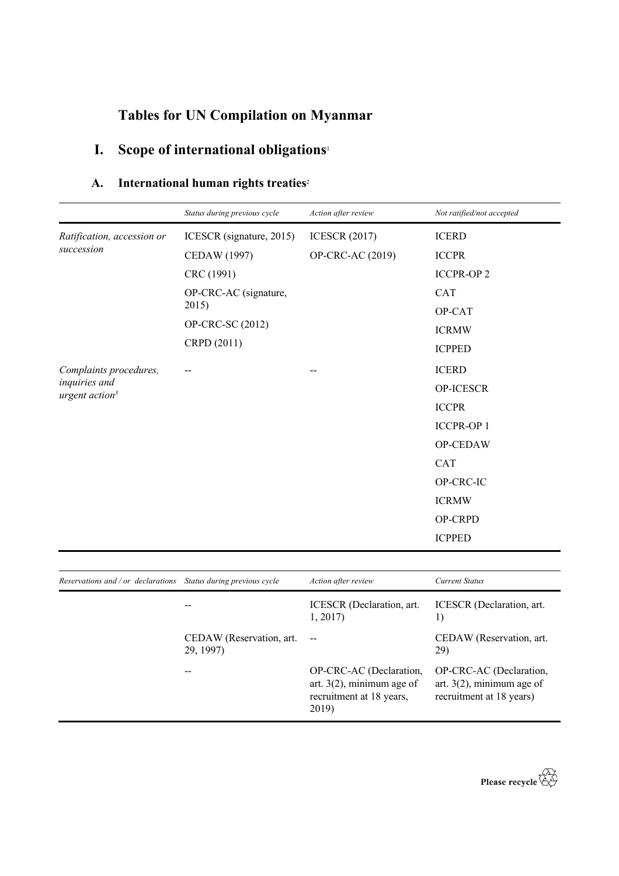## **Tables for UN Compilation on Myanmar**

# **I. Scope of international obligations**<sup>1</sup>

| A. | International human rights treaties <sup>2</sup> |  |  |
|----|--------------------------------------------------|--|--|
|    |                                                  |  |  |

29, 1997)

|                                                                 | Status during previous cycle | Action after review                  | Not ratified/not accepted       |
|-----------------------------------------------------------------|------------------------------|--------------------------------------|---------------------------------|
| Ratification, accession or<br>succession                        | ICESCR (signature, 2015)     | <b>ICESCR (2017)</b>                 | <b>ICERD</b>                    |
|                                                                 | CEDAW (1997)                 | OP-CRC-AC (2019)                     | <b>ICCPR</b>                    |
|                                                                 | CRC (1991)                   |                                      | <b>ICCPR-OP2</b>                |
|                                                                 | OP-CRC-AC (signature,        |                                      | <b>CAT</b>                      |
|                                                                 | 2015)                        |                                      | OP-CAT                          |
|                                                                 | OP-CRC-SC (2012)             |                                      | <b>ICRMW</b>                    |
|                                                                 | CRPD (2011)                  |                                      | <b>ICPPED</b>                   |
| Complaints procedures,                                          |                              |                                      | <b>ICERD</b>                    |
| inquiries and<br>urgent action <sup>3</sup>                     |                              |                                      | OP-ICESCR                       |
|                                                                 |                              |                                      | <b>ICCPR</b>                    |
|                                                                 |                              |                                      | <b>ICCPR-OP1</b>                |
|                                                                 |                              |                                      | OP-CEDAW                        |
|                                                                 |                              |                                      | <b>CAT</b>                      |
|                                                                 |                              |                                      | OP-CRC-IC                       |
|                                                                 |                              |                                      | <b>ICRMW</b>                    |
|                                                                 |                              |                                      | OP-CRPD                         |
|                                                                 |                              |                                      | <b>ICPPED</b>                   |
|                                                                 |                              |                                      |                                 |
| Reservations and / or declarations Status during previous cycle |                              | Action after review                  | <b>Current Status</b>           |
|                                                                 | --                           | ICESCR (Declaration, art.<br>1, 2017 | ICESCR (Declaration, art.<br>1) |
|                                                                 | CEDAW (Reservation, art.     | $\overline{\phantom{m}}$             | CEDAW (Reservation, art.        |

-- OP-CRC-AC (Declaration,

2019)

art. 3(2), minimum age of recruitment at 18 years,

OP-CRC-AC (Declaration, art. 3(2), minimum age of recruitment at 18 years)

29)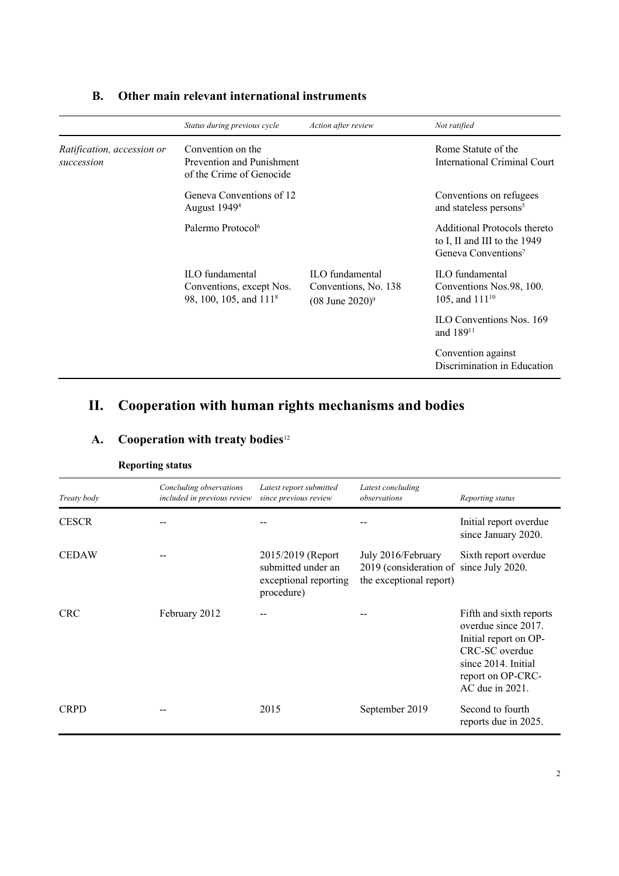|                                          | Status during previous cycle                                                      | Action after review                                                    | Not ratified                                                                                    |
|------------------------------------------|-----------------------------------------------------------------------------------|------------------------------------------------------------------------|-------------------------------------------------------------------------------------------------|
| Ratification, accession or<br>succession | Convention on the<br>Prevention and Punishment<br>of the Crime of Genocide        |                                                                        | Rome Statute of the<br>International Criminal Court                                             |
|                                          | Geneva Conventions of 12<br>August 1949 <sup>4</sup>                              |                                                                        | Conventions on refugees<br>and stateless persons <sup>5</sup>                                   |
|                                          | Palermo Protocol <sup>6</sup>                                                     |                                                                        | Additional Protocols thereto<br>to I, II and III to the 1949<br>Geneva Conventions <sup>7</sup> |
|                                          | ILO fundamental<br>Conventions, except Nos.<br>98, 100, 105, and 111 <sup>8</sup> | ILO fundamental<br>Conventions, No. 138<br>$(08 \text{ June } 2020)^9$ | <b>ILO</b> fundamental<br>Conventions Nos.98, 100.<br>105, and 111 <sup>10</sup>                |
|                                          |                                                                                   |                                                                        | <b>ILO</b> Conventions Nos. 169<br>and 189 <sup>11</sup>                                        |
|                                          |                                                                                   |                                                                        | Convention against<br>Discrimination in Education                                               |

## **B. Other main relevant international instruments**

# **II. Cooperation with human rights mechanisms and bodies**

## **A. Cooperation with treaty bodies**<sup>12</sup>

| Treaty body  | Concluding observations<br>included in previous review | Latest report submitted<br>since previous review                                | Latest concluding<br>observations                                                        | Reporting status                                                                                                                                           |
|--------------|--------------------------------------------------------|---------------------------------------------------------------------------------|------------------------------------------------------------------------------------------|------------------------------------------------------------------------------------------------------------------------------------------------------------|
| <b>CESCR</b> |                                                        |                                                                                 |                                                                                          | Initial report overdue<br>since January 2020.                                                                                                              |
| <b>CEDAW</b> |                                                        | 2015/2019 (Report)<br>submitted under an<br>exceptional reporting<br>procedure) | July 2016/February<br>2019 (consideration of since July 2020.<br>the exceptional report) | Sixth report overdue                                                                                                                                       |
| <b>CRC</b>   | February 2012                                          |                                                                                 |                                                                                          | Fifth and sixth reports<br>overdue since 2017.<br>Initial report on OP-<br>CRC-SC overdue<br>since 2014. Initial<br>report on OP-CRC-<br>$AC$ due in 2021. |
| <b>CRPD</b>  |                                                        | 2015                                                                            | September 2019                                                                           | Second to fourth<br>reports due in 2025.                                                                                                                   |

**Reporting status**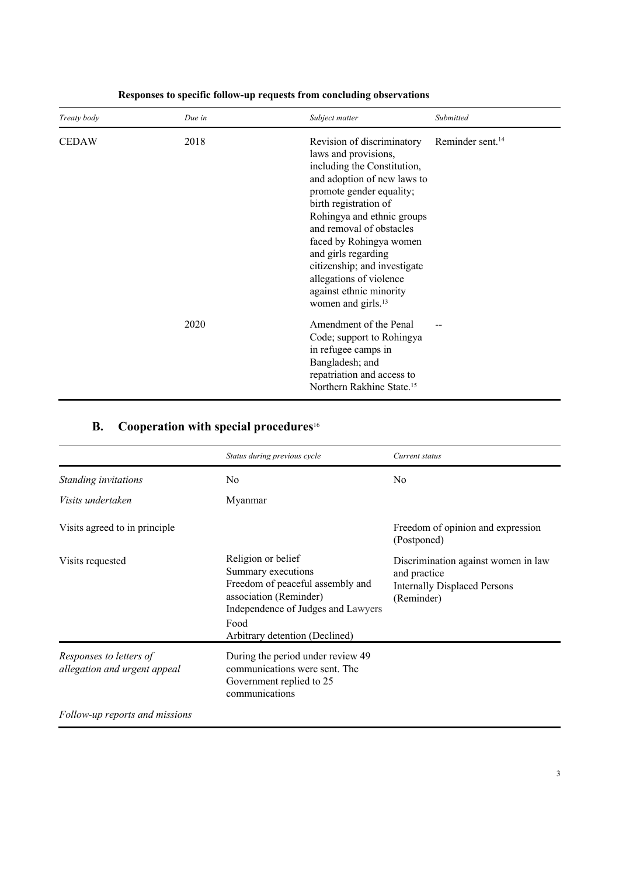| Treaty body  | Due in | Subject matter                                                                                                                                                                                                                                                                                                                                                                                            | Submitted                    |
|--------------|--------|-----------------------------------------------------------------------------------------------------------------------------------------------------------------------------------------------------------------------------------------------------------------------------------------------------------------------------------------------------------------------------------------------------------|------------------------------|
| <b>CEDAW</b> | 2018   | Revision of discriminatory<br>laws and provisions,<br>including the Constitution,<br>and adoption of new laws to<br>promote gender equality;<br>birth registration of<br>Rohingya and ethnic groups<br>and removal of obstacles<br>faced by Rohingya women<br>and girls regarding<br>citizenship; and investigate<br>allegations of violence<br>against ethnic minority<br>women and girls. <sup>13</sup> | Reminder sent. <sup>14</sup> |
|              | 2020   | Amendment of the Penal<br>Code; support to Rohingya<br>in refugee camps in<br>Bangladesh; and<br>repatriation and access to<br>Northern Rakhine State. <sup>15</sup>                                                                                                                                                                                                                                      |                              |

### **Responses to specific follow-up requests from concluding observations**

## **B. Cooperation with special procedures**<sup>16</sup>

|                                                         | Status during previous cycle                                                                                                                                                           | Current status                                                                                           |
|---------------------------------------------------------|----------------------------------------------------------------------------------------------------------------------------------------------------------------------------------------|----------------------------------------------------------------------------------------------------------|
| Standing invitations                                    | N <sub>0</sub>                                                                                                                                                                         | N <sub>o</sub>                                                                                           |
| Visits undertaken                                       | Myanmar                                                                                                                                                                                |                                                                                                          |
| Visits agreed to in principle                           |                                                                                                                                                                                        | Freedom of opinion and expression<br>(Postponed)                                                         |
| Visits requested                                        | Religion or belief<br>Summary executions<br>Freedom of peaceful assembly and<br>association (Reminder)<br>Independence of Judges and Lawyers<br>Food<br>Arbitrary detention (Declined) | Discrimination against women in law<br>and practice<br><b>Internally Displaced Persons</b><br>(Reminder) |
| Responses to letters of<br>allegation and urgent appeal | During the period under review 49<br>communications were sent. The<br>Government replied to 25<br>communications                                                                       |                                                                                                          |
| Follow-up reports and missions                          |                                                                                                                                                                                        |                                                                                                          |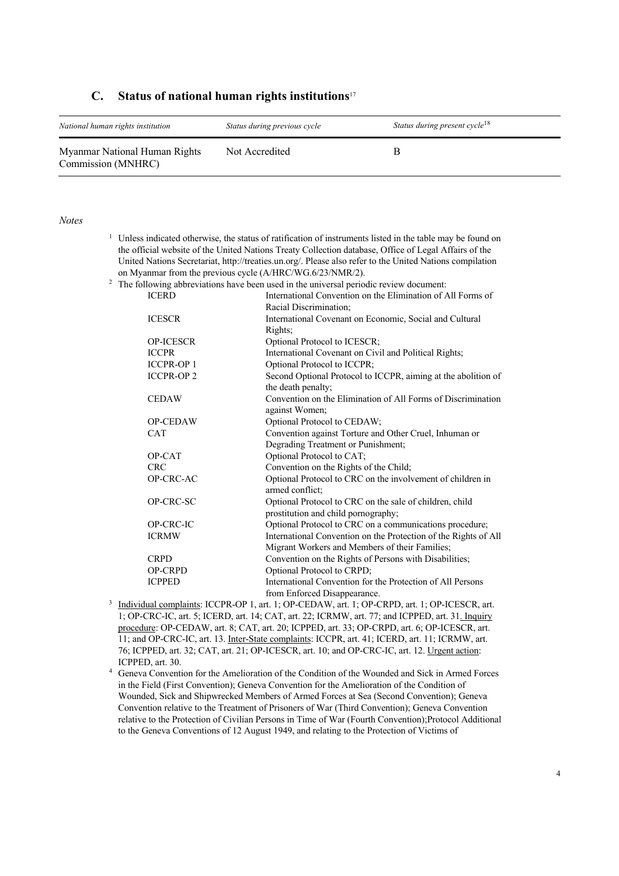#### **C. Status of national human rights institutions**<sup>17</sup>

| National human rights institution                   | Status during previous cycle | Status during present cycle <sup>18</sup> |
|-----------------------------------------------------|------------------------------|-------------------------------------------|
| Myanmar National Human Rights<br>Commission (MNHRC) | Not Accredited               |                                           |

#### *Notes*

<sup>1</sup> Unless indicated otherwise, the status of ratification of instruments listed in the table may be found on the official website of the United Nations Treaty Collection database, Office of Legal Affairs of the United Nations Secretariat, http://treaties.un.org/. Please also refer to the United Nations compilation on Myanmar from the previous cycle (A/HRC/WG.6/23/NMR/2).

#### $2$  The following abbreviations have been used in the universal periodic review document:

| <b>ICERD</b>     | International Convention on the Elimination of All Forms of     |
|------------------|-----------------------------------------------------------------|
|                  | Racial Discrimination;                                          |
| <b>ICESCR</b>    | International Covenant on Economic, Social and Cultural         |
|                  | Rights;                                                         |
| <b>OP-ICESCR</b> | Optional Protocol to ICESCR;                                    |
| <b>ICCPR</b>     | International Covenant on Civil and Political Rights;           |
| <b>ICCPR-OP1</b> | Optional Protocol to ICCPR;                                     |
| <b>ICCPR-OP2</b> | Second Optional Protocol to ICCPR, aiming at the abolition of   |
|                  | the death penalty;                                              |
| <b>CEDAW</b>     | Convention on the Elimination of All Forms of Discrimination    |
|                  | against Women;                                                  |
| OP-CEDAW         | Optional Protocol to CEDAW;                                     |
| <b>CAT</b>       | Convention against Torture and Other Cruel, Inhuman or          |
|                  | Degrading Treatment or Punishment;                              |
| OP-CAT           | Optional Protocol to CAT;                                       |
| CRC              | Convention on the Rights of the Child;                          |
| OP-CRC-AC        | Optional Protocol to CRC on the involvement of children in      |
|                  | armed conflict;                                                 |
| OP-CRC-SC        | Optional Protocol to CRC on the sale of children, child         |
|                  | prostitution and child pornography;                             |
| <b>OP-CRC-IC</b> | Optional Protocol to CRC on a communications procedure;         |
| <b>ICRMW</b>     | International Convention on the Protection of the Rights of All |
|                  | Migrant Workers and Members of their Families;                  |
| <b>CRPD</b>      | Convention on the Rights of Persons with Disabilities;          |
| <b>OP-CRPD</b>   | Optional Protocol to CRPD;                                      |
| <b>ICPPED</b>    | International Convention for the Protection of All Persons      |
|                  | from Enforced Disappearance.                                    |

- <sup>3</sup> Individual complaints: ICCPR-OP 1, art. 1; OP-CEDAW, art. 1; OP-CRPD, art. 1; OP-ICESCR, art. 1; OP-CRC-IC, art. 5; ICERD, art. 14; CAT, art. 22; ICRMW, art. 77; and ICPPED, art. 31. Inquiry procedure: OP-CEDAW, art. 8; CAT, art. 20; ICPPED, art. 33; OP-CRPD, art. 6; OP-ICESCR, art. 11; and OP-CRC-IC, art. 13. Inter-State complaints: ICCPR, art. 41; ICERD, art. 11; ICRMW, art. 76; ICPPED, art. 32; CAT, art. 21; OP-ICESCR, art. 10; and OP-CRC-IC, art. 12. Urgent action: ICPPED, art. 30.
- <sup>4</sup> Geneva Convention for the Amelioration of the Condition of the Wounded and Sick in Armed Forces in the Field (First Convention); Geneva Convention for the Amelioration of the Condition of Wounded, Sick and Shipwrecked Members of Armed Forces at Sea (Second Convention); Geneva Convention relative to the Treatment of Prisoners of War (Third Convention); Geneva Convention relative to the Protection of Civilian Persons in Time of War (Fourth Convention);Protocol Additional to the Geneva Conventions of 12 August 1949, and relating to the Protection of Victims of